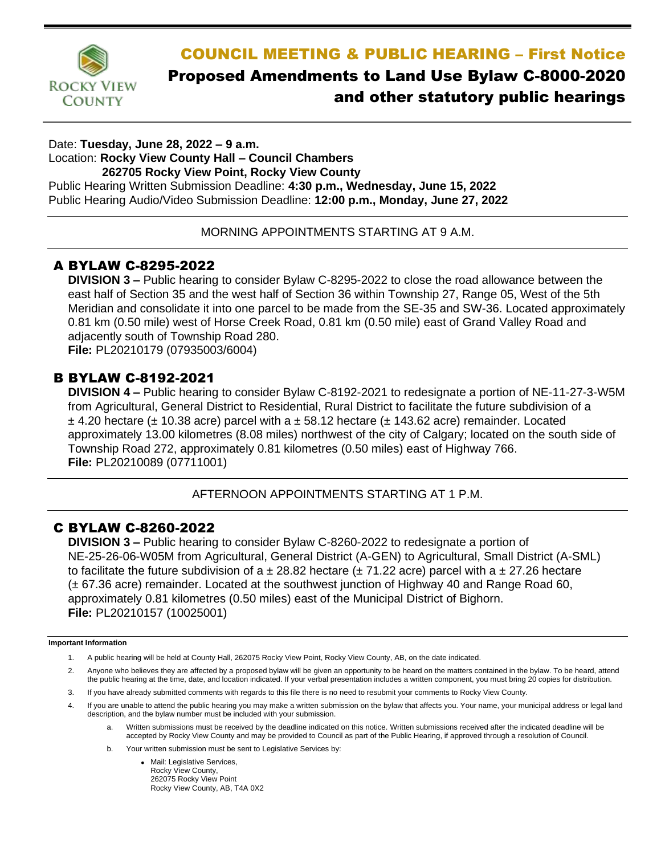

# COUNCIL MEETING & PUBLIC HEARING – First Notice Proposed Amendments to Land Use Bylaw C-8000-2020 and other statutory public hearings

#### Date: **Tuesday, June 28, 2022 – 9 a.m.** Location: **Rocky View County Hall – Council Chambers 262705 Rocky View Point, Rocky View County** Public Hearing Written Submission Deadline: **4:30 p.m., Wednesday, June 15, 2022** Public Hearing Audio/Video Submission Deadline: **12:00 p.m., Monday, June 27, 2022**

MORNING APPOINTMENTS STARTING AT 9 A.M.

## A BYLAW C-8295-2022

**DIVISION 3 –** Public hearing to consider Bylaw C-8295-2022 to close the road allowance between the east half of Section 35 and the west half of Section 36 within Township 27, Range 05, West of the 5th Meridian and consolidate it into one parcel to be made from the SE-35 and SW-36. Located approximately 0.81 km (0.50 mile) west of Horse Creek Road, 0.81 km (0.50 mile) east of Grand Valley Road and adjacently south of Township Road 280. **File:** PL20210179 (07935003/6004)

#### B BYLAW C-8192-2021

**DIVISION 4 –** Public hearing to consider Bylaw C-8192-2021 to redesignate a portion of NE-11-27-3-W5M from Agricultural, General District to Residential, Rural District to facilitate the future subdivision of a  $\pm$  4.20 hectare ( $\pm$  10.38 acre) parcel with a  $\pm$  58.12 hectare ( $\pm$  143.62 acre) remainder. Located approximately 13.00 kilometres (8.08 miles) northwest of the city of Calgary; located on the south side of Township Road 272, approximately 0.81 kilometres (0.50 miles) east of Highway 766. **File:** PL20210089 (07711001)

AFTERNOON APPOINTMENTS STARTING AT 1 P.M.

## C BYLAW C-8260-2022

**DIVISION 3 –** Public hearing to consider Bylaw C-8260-2022 to redesignate a portion of NE-25-26-06-W05M from Agricultural, General District (A-GEN) to Agricultural, Small District (A-SML) to facilitate the future subdivision of a  $\pm$  28.82 hectare ( $\pm$  71.22 acre) parcel with a  $\pm$  27.26 hectare (± 67.36 acre) remainder. Located at the southwest junction of Highway 40 and Range Road 60, approximately 0.81 kilometres (0.50 miles) east of the Municipal District of Bighorn. **File:** PL20210157 (10025001)

#### **Important Information**

- 1. A public hearing will be held at County Hall, 262075 Rocky View Point, Rocky View County, AB, on the date indicated.
- 2. Anyone who believes they are affected by a proposed bylaw will be given an opportunity to be heard on the matters contained in the bylaw. To be heard, attend the public hearing at the time, date, and location indicated. If your verbal presentation includes a written component, you must bring 20 copies for distribution.
- 3. If you have already submitted comments with regards to this file there is no need to resubmit your comments to Rocky View County.
- 4. If you are unable to attend the public hearing you may make a written submission on the bylaw that affects you. Your name, your municipal address or legal land description, and the bylaw number must be included with your submission.
	- a. Written submissions must be received by the deadline indicated on this notice. Written submissions received after the indicated deadline will be accepted by Rocky View County and may be provided to Council as part of the Public Hearing, if approved through a resolution of Council.
	- b. Your written submission must be sent to Legislative Services by:
		- Mail: Legislative Services, Rocky View County, 262075 Rocky View Point Rocky View County, AB, T4A 0X2